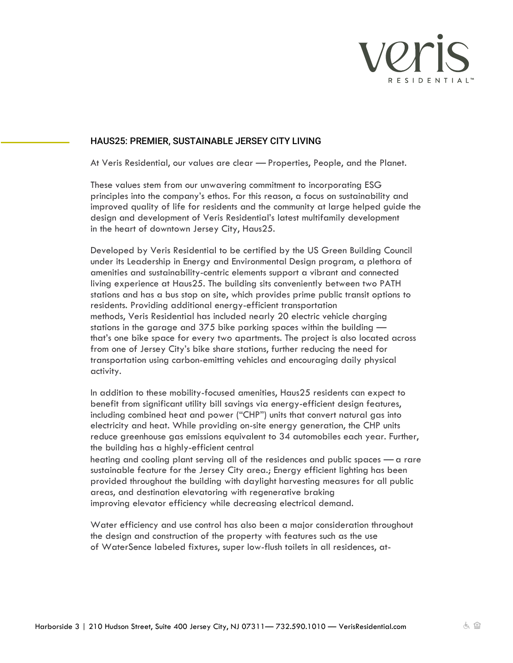

## HAUS25: PREMIER, SUSTAINABLE JERSEY CITY LIVING

At Veris Residential, our values are clear — Properties, People, and the Planet.

These values stem from our unwavering commitment to incorporating ESG principles into the company's ethos. For this reason, a focus on sustainability and improved quality of life for residents and the community at large helped guide the design and development of Veris Residential's latest multifamily development in the heart of downtown Jersey City, Haus25.

Developed by Veris Residential to be certified by the US Green Building Council under its Leadership in Energy and Environmental Design program, a plethora of amenities and sustainability-centric elements support a vibrant and connected living experience at Haus25. The building sits conveniently between two PATH stations and has a bus stop on site, which provides prime public transit options to residents. Providing additional energy-efficient transportation methods, Veris Residential has included nearly 20 electric vehicle charging stations in the garage and 375 bike parking spaces within the building that's one bike space for every two apartments. The project is also located across from one of Jersey City's bike share stations, further reducing the need for transportation using carbon-emitting vehicles and encouraging daily physical activity.

In addition to these mobility-focused amenities, Haus25 residents can expect to benefit from significant utility bill savings via energy-efficient design features, including combined heat and power ("CHP") units that convert natural gas into electricity and heat. While providing on-site energy generation, the CHP units reduce greenhouse gas emissions equivalent to 34 automobiles each year. Further, the building has a highly-efficient central heating and cooling plant serving all of the residences and public spaces — a rare

sustainable feature for the Jersey City area.; Energy efficient lighting has been provided throughout the building with daylight harvesting measures for all public areas, and destination elevatoring with regenerative braking improving elevator efficiency while decreasing electrical demand.

Water efficiency and use control has also been a major consideration throughout the design and construction of the property with features such as the use of WaterSence labeled fixtures, super low-flush toilets in all residences, at-